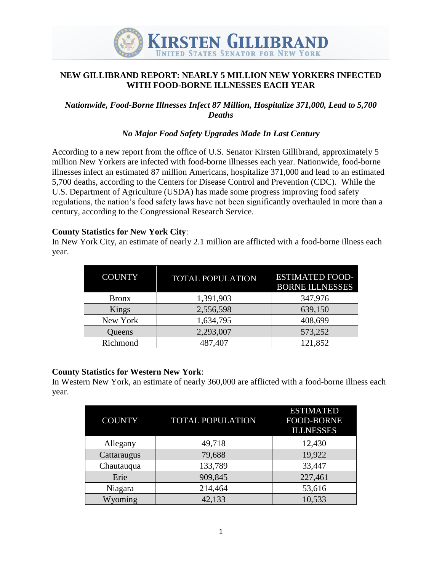

# **NEW GILLIBRAND REPORT: NEARLY 5 MILLION NEW YORKERS INFECTED WITH FOOD-BORNE ILLNESSES EACH YEAR**

### *Nationwide, Food-Borne Illnesses Infect 87 Million, Hospitalize 371,000, Lead to 5,700 Deaths*

### *No Major Food Safety Upgrades Made In Last Century*

According to a new report from the office of U.S. Senator Kirsten Gillibrand, approximately 5 million New Yorkers are infected with food-borne illnesses each year. Nationwide, food-borne illnesses infect an estimated 87 million Americans, hospitalize 371,000 and lead to an estimated 5,700 deaths, according to the Centers for Disease Control and Prevention (CDC). While the U.S. Department of Agriculture (USDA) has made some progress improving food safety regulations, the nation's food safety laws have not been significantly overhauled in more than a century, according to the Congressional Research Service.

#### **County Statistics for New York City**:

In New York City, an estimate of nearly 2.1 million are afflicted with a food-borne illness each year.

| <b>COUNTY</b> | <b>TOTAL POPULATION</b> | <b>ESTIMATED FOOD-</b><br><b>BORNE ILLNESSES</b> |
|---------------|-------------------------|--------------------------------------------------|
| <b>Bronx</b>  | 1,391,903               | 347,976                                          |
| Kings         | 2,556,598               | 639,150                                          |
| New York      | 1,634,795               | 408,699                                          |
| Queens        | 2,293,007               | 573,252                                          |
| Richmond      | 487,407                 | 121,852                                          |

#### **County Statistics for Western New York**:

In Western New York, an estimate of nearly 360,000 are afflicted with a food-borne illness each year.

| <b>COUNTY</b> | <b>TOTAL POPULATION</b> | <b>ESTIMATED</b><br><b>FOOD-BORNE</b><br><b>ILLNESSES</b> |
|---------------|-------------------------|-----------------------------------------------------------|
| Allegany      | 49,718                  | 12,430                                                    |
| Cattaraugus   | 79,688                  | 19,922                                                    |
| Chautauqua    | 133,789                 | 33,447                                                    |
| Erie          | 909,845                 | 227,461                                                   |
| Niagara       | 214,464                 | 53,616                                                    |
| Wyoming       | 42,133                  | 10,533                                                    |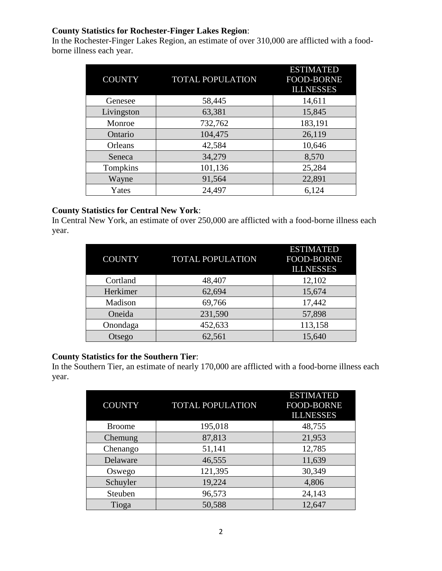### **County Statistics for Rochester-Finger Lakes Region**:

In the Rochester-Finger Lakes Region, an estimate of over 310,000 are afflicted with a foodborne illness each year.

| COUNTY     | <b>TOTAL POPULATION</b> | <b>ESTIMATED</b><br><b>FOOD-BORNE</b><br><b>ILLNESSES</b> |
|------------|-------------------------|-----------------------------------------------------------|
| Genesee    | 58,445                  | 14,611                                                    |
| Livingston | 63,381                  | 15,845                                                    |
| Monroe     | 732,762                 | 183,191                                                   |
| Ontario    | 104,475                 | 26,119                                                    |
| Orleans    | 42,584                  | 10,646                                                    |
| Seneca     | 34,279                  | 8,570                                                     |
| Tompkins   | 101,136                 | 25,284                                                    |
| Wayne      | 91,564                  | 22,891                                                    |
| Yates      | 24,497                  | 6,124                                                     |

### **County Statistics for Central New York**:

In Central New York, an estimate of over 250,000 are afflicted with a food-borne illness each year.

| <b>COUNTY</b> | <b>TOTAL POPULATION</b> | <b>ESTIMATED</b><br><b>FOOD-BORNE</b><br><b>ILLNESSES</b> |
|---------------|-------------------------|-----------------------------------------------------------|
| Cortland      | 48,407                  | 12,102                                                    |
| Herkimer      | 62,694                  | 15,674                                                    |
| Madison       | 69,766                  | 17,442                                                    |
| Oneida        | 231,590                 | 57,898                                                    |
| Onondaga      | 452,633                 | 113,158                                                   |
| Otsego        | 62,561                  | 15,640                                                    |

#### **County Statistics for the Southern Tier**:

In the Southern Tier, an estimate of nearly 170,000 are afflicted with a food-borne illness each year.

| <b>COUNTY</b> | <b>TOTAL POPULATION</b> | <b>ESTIMATED</b><br>FOOD-BORNE<br><b>ILLNESSES</b> |
|---------------|-------------------------|----------------------------------------------------|
| <b>Broome</b> | 195,018                 | 48,755                                             |
| Chemung       | 87,813                  | 21,953                                             |
| Chenango      | 51,141                  | 12,785                                             |
| Delaware      | 46,555                  | 11,639                                             |
| Oswego        | 121,395                 | 30,349                                             |
| Schuyler      | 19,224                  | 4,806                                              |
| Steuben       | 96,573                  | 24,143                                             |
| Tioga         | 50,588                  | 12,647                                             |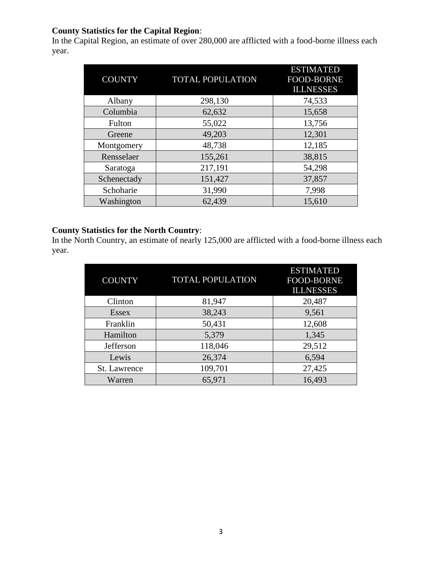# **County Statistics for the Capital Region**:

In the Capital Region, an estimate of over 280,000 are afflicted with a food-borne illness each year.

| COUNTY      | <b>TOTAL POPULATION</b> | <b>ESTIMATED</b><br><b>FOOD-BORNE</b><br><b>ILLNESSES</b> |
|-------------|-------------------------|-----------------------------------------------------------|
| Albany      | 298,130                 | 74,533                                                    |
| Columbia    | 62,632                  | 15,658                                                    |
| Fulton      | 55,022                  | 13,756                                                    |
| Greene      | 49,203                  | 12,301                                                    |
| Montgomery  | 48,738                  | 12,185                                                    |
| Rensselaer  | 155,261                 | 38,815                                                    |
| Saratoga    | 217,191                 | 54,298                                                    |
| Schenectady | 151,427                 | 37,857                                                    |
| Schoharie   | 31,990                  | 7,998                                                     |
| Washington  | 62,439                  | 15,610                                                    |

# **County Statistics for the North Country**:

In the North Country, an estimate of nearly 125,000 are afflicted with a food-borne illness each year.

| <b>COUNTY</b> | <b>TOTAL POPULATION</b> | <b>ESTIMATED</b><br><b>FOOD-BORNE</b><br><b>ILLNESSES</b> |
|---------------|-------------------------|-----------------------------------------------------------|
| Clinton       | 81,947                  | 20,487                                                    |
| <b>Essex</b>  | 38,243                  | 9,561                                                     |
| Franklin      | 50,431                  | 12,608                                                    |
| Hamilton      | 5,379                   | 1,345                                                     |
| Jefferson     | 118,046                 | 29,512                                                    |
| Lewis         | 26,374                  | 6,594                                                     |
| St. Lawrence  | 109,701                 | 27,425                                                    |
| Warren        | 65,971                  | 16,493                                                    |